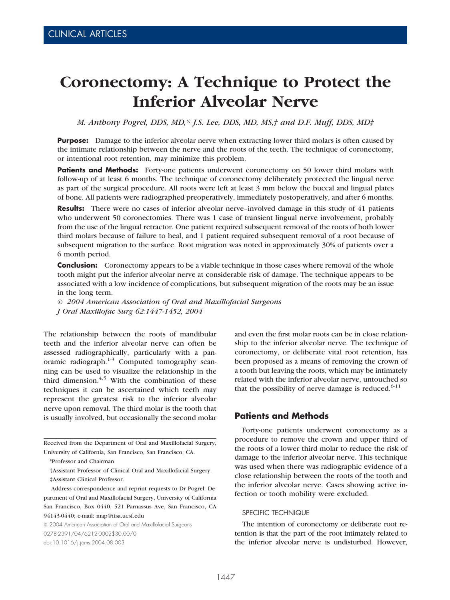# **Coronectomy: A Technique to Protect the Inferior Alveolar Nerve**

*M. Anthony Pogrel, DDS, MD,\* J.S. Lee, DDS, MD, MS,† and D.F. Muff, DDS, MD‡*

**Purpose:** Damage to the inferior alveolar nerve when extracting lower third molars is often caused by the intimate relationship between the nerve and the roots of the teeth. The technique of coronectomy, or intentional root retention, may minimize this problem.

**Patients and Methods:** Forty-one patients underwent coronectomy on 50 lower third molars with follow-up of at least 6 months. The technique of coronectomy deliberately protected the lingual nerve as part of the surgical procedure. All roots were left at least 3 mm below the buccal and lingual plates of bone. All patients were radiographed preoperatively, immediately postoperatively, and after 6 months.

**Results:** There were no cases of inferior alveolar nerve–involved damage in this study of 41 patients who underwent 50 coronectomies. There was 1 case of transient lingual nerve involvement, probably from the use of the lingual retractor. One patient required subsequent removal of the roots of both lower third molars because of failure to heal, and 1 patient required subsequent removal of a root because of subsequent migration to the surface. Root migration was noted in approximately 30% of patients over a 6 month period.

**Conclusion:** Coronectomy appears to be a viable technique in those cases where removal of the whole tooth might put the inferior alveolar nerve at considerable risk of damage. The technique appears to be associated with a low incidence of complications, but subsequent migration of the roots may be an issue in the long term.

*© 2004 American Association of Oral and Maxillofacial Surgeons J Oral Maxillofac Surg 62:1447-1452, 2004*

The relationship between the roots of mandibular teeth and the inferior alveolar nerve can often be assessed radiographically, particularly with a panoramic radiograph. $1-3$  Computed tomography scanning can be used to visualize the relationship in the third dimension. $4,5$  With the combination of these techniques it can be ascertained which teeth may represent the greatest risk to the inferior alveolar nerve upon removal. The third molar is the tooth that is usually involved, but occasionally the second molar

Received from the Department of Oral and Maxillofacial Surgery, University of California, San Francisco, San Francisco, CA.

†Assistant Professor of Clinical Oral and Maxillofacial Surgery. ‡Assistant Clinical Professor.

Address correspondence and reprint requests to Dr Pogrel: Department of Oral and Maxillofacial Surgery, University of California San Francisco, Box 0440, 521 Parnassus Ave, San Francisco, CA 94143-0440; e-mail: map@itsa.ucsf.edu

© 2004 American Association of Oral and Maxillofacial Surgeons 0278-2391/04/6212-0002\$30.00/0 doi:10.1016/j.joms.2004.08.003

and even the first molar roots can be in close relationship to the inferior alveolar nerve. The technique of coronectomy, or deliberate vital root retention, has been proposed as a means of removing the crown of a tooth but leaving the roots, which may be intimately related with the inferior alveolar nerve, untouched so that the possibility of nerve damage is reduced. $6-11$ 

## **Patients and Methods**

Forty-one patients underwent coronectomy as a procedure to remove the crown and upper third of the roots of a lower third molar to reduce the risk of damage to the inferior alveolar nerve. This technique was used when there was radiographic evidence of a close relationship between the roots of the tooth and the inferior alveolar nerve. Cases showing active infection or tooth mobility were excluded.

#### SPECIFIC TECHNIQUE

The intention of coronectomy or deliberate root retention is that the part of the root intimately related to the inferior alveolar nerve is undisturbed. However,

<sup>\*</sup>Professor and Chairman.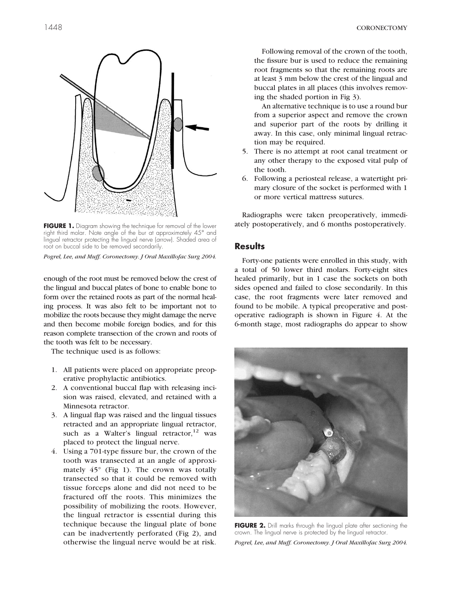

**FIGURE 1.** Diagram showing the technique for removal of the lower right third molar. Note angle of the bur at approximately 45° and lingual retractor protecting the lingual nerve (arrow). Shaded area of root on buccal side to be removed secondarily.

enough of the root must be removed below the crest of the lingual and buccal plates of bone to enable bone to form over the retained roots as part of the normal healing process. It was also felt to be important not to mobilize the roots because they might damage the nerve and then become mobile foreign bodies, and for this reason complete transection of the crown and roots of the tooth was felt to be necessary.

The technique used is as follows:

- 1. All patients were placed on appropriate preoperative prophylactic antibiotics.
- 2. A conventional buccal flap with releasing incision was raised, elevated, and retained with a Minnesota retractor.
- 3. A lingual flap was raised and the lingual tissues retracted and an appropriate lingual retractor, such as a Walter's lingual retractor, $12$  was placed to protect the lingual nerve.
- 4. Using a 701-type fissure bur, the crown of the tooth was transected at an angle of approximately  $45^{\circ}$  (Fig 1). The crown was totally transected so that it could be removed with tissue forceps alone and did not need to be fractured off the roots. This minimizes the possibility of mobilizing the roots. However, the lingual retractor is essential during this technique because the lingual plate of bone can be inadvertently perforated (Fig 2), and otherwise the lingual nerve would be at risk.

Following removal of the crown of the tooth, the fissure bur is used to reduce the remaining root fragments so that the remaining roots are at least 3 mm below the crest of the lingual and buccal plates in all places (this involves removing the shaded portion in [Fig 3\)](#page-2-0).

An alternative technique is to use a round bur from a superior aspect and remove the crown and superior part of the roots by drilling it away. In this case, only minimal lingual retraction may be required.

- 5. There is no attempt at root canal treatment or any other therapy to the exposed vital pulp of the tooth.
- 6. Following a periosteal release, a watertight primary closure of the socket is performed with 1 or more vertical mattress sutures.

Radiographs were taken preoperatively, immediately postoperatively, and 6 months postoperatively.

### **Results**

Forty-one patients were enrolled in this study, with a total of 50 lower third molars. Forty-eight sites healed primarily, but in 1 case the sockets on both sides opened and failed to close secondarily. In this case, the root fragments were later removed and found to be mobile. A typical preoperative and postoperative radiograph is shown in [Figure 4.](#page-2-0) At the 6-month stage, most radiographs do appear to show



**FIGURE 2.** Drill marks through the lingual plate after sectioning the crown. The lingual nerve is protected by the lingual retractor.

*Pogrel, Lee, and Muff. Coronectomy. J Oral Maxillofac Surg 2004.*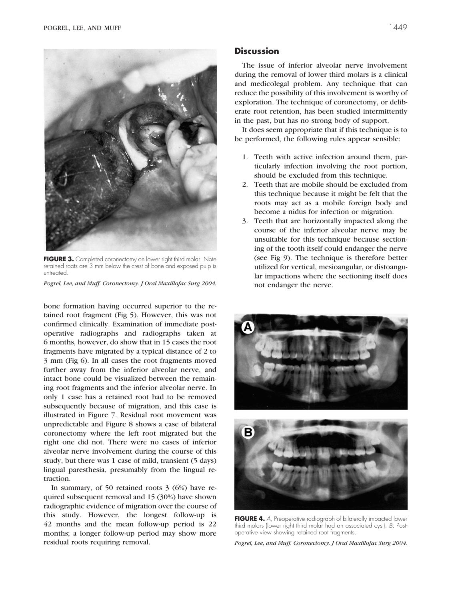<span id="page-2-0"></span>

**FIGURE 3.** Completed coronectomy on lower right third molar. Note retained roots are 3 mm below the crest of bone and exposed pulp is untreated.

bone formation having occurred superior to the retained root fragment [\(Fig 5\)](#page-3-0). However, this was not confirmed clinically. Examination of immediate postoperative radiographs and radiographs taken at 6 months, however, do show that in 15 cases the root fragments have migrated by a typical distance of 2 to 3 mm [\(Fig 6\)](#page-3-0). In all cases the root fragments moved further away from the inferior alveolar nerve, and intact bone could be visualized between the remaining root fragments and the inferior alveolar nerve. In only 1 case has a retained root had to be removed subsequently because of migration, and this case is illustrated in [Figure 7.](#page-4-0) Residual root movement was unpredictable and [Figure 8](#page-4-0) shows a case of bilateral coronectomy where the left root migrated but the right one did not. There were no cases of inferior alveolar nerve involvement during the course of this study, but there was 1 case of mild, transient (5 days) lingual paresthesia, presumably from the lingual retraction.

In summary, of 50 retained roots 3 (6%) have required subsequent removal and 15 (30%) have shown radiographic evidence of migration over the course of this study. However, the longest follow-up is 42 months and the mean follow-up period is 22 months; a longer follow-up period may show more residual roots requiring removal.

## **Discussion**

The issue of inferior alveolar nerve involvement during the removal of lower third molars is a clinical and medicolegal problem. Any technique that can reduce the possibility of this involvement is worthy of exploration. The technique of coronectomy, or deliberate root retention, has been studied intermittently in the past, but has no strong body of support.

It does seem appropriate that if this technique is to be performed, the following rules appear sensible:

- 1. Teeth with active infection around them, particularly infection involving the root portion, should be excluded from this technique.
- 2. Teeth that are mobile should be excluded from this technique because it might be felt that the roots may act as a mobile foreign body and become a nidus for infection or migration.
- 3. Teeth that are horizontally impacted along the course of the inferior alveolar nerve may be unsuitable for this technique because sectioning of the tooth itself could endanger the nerve (see [Fig 9\)](#page-4-0). The technique is therefore better utilized for vertical, mesioangular, or distoangular impactions where the sectioning itself does not endanger the nerve.





**FIGURE 4.** A, Preoperative radiograph of bilaterally impacted lower third molars (lower right third molar had an associated cyst). B, Postoperative view showing retained root fragments.

*Pogrel, Lee, and Muff. Coronectomy. J Oral Maxillofac Surg 2004.*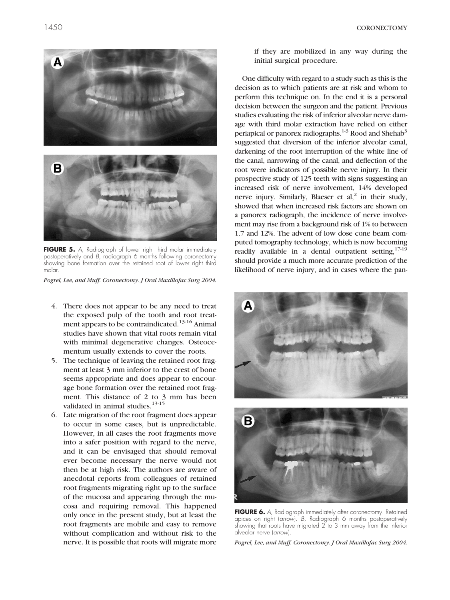<span id="page-3-0"></span>



**FIGURE 5.** A, Radiograph of lower right third molar immediately postoperatively and B, radiograph 6 months following coronectomy showing bone formation over the retained root of lower right third molar.

- 4. There does not appear to be any need to treat the exposed pulp of the tooth and root treatment appears to be contraindicated.<sup>13-16</sup> Animal studies have shown that vital roots remain vital with minimal degenerative changes. Osteocementum usually extends to cover the roots.
- 5. The technique of leaving the retained root fragment at least 3 mm inferior to the crest of bone seems appropriate and does appear to encourage bone formation over the retained root fragment. This distance of 2 to 3 mm has been validated in animal studies. $13-15$
- 6. Late migration of the root fragment does appear to occur in some cases, but is unpredictable. However, in all cases the root fragments move into a safer position with regard to the nerve, and it can be envisaged that should removal ever become necessary the nerve would not then be at high risk. The authors are aware of anecdotal reports from colleagues of retained root fragments migrating right up to the surface of the mucosa and appearing through the mucosa and requiring removal. This happened only once in the present study, but at least the root fragments are mobile and easy to remove without complication and without risk to the nerve. It is possible that roots will migrate more

if they are mobilized in any way during the initial surgical procedure.

One difficulty with regard to a study such as this is the decision as to which patients are at risk and whom to perform this technique on. In the end it is a personal decision between the surgeon and the patient. Previous studies evaluating the risk of inferior alveolar nerve damage with third molar extraction have relied on either periapical or panorex radiographs.<sup>1-3</sup> Rood and Shehab<sup>3</sup> suggested that diversion of the inferior alveolar canal, darkening of the root interruption of the white line of the canal, narrowing of the canal, and deflection of the root were indicators of possible nerve injury. In their prospective study of 125 teeth with signs suggesting an increased risk of nerve involvement, 14% developed nerve injury. Similarly, Blaeser et  $al$ ,<sup>2</sup> in their study, showed that when increased risk factors are shown on a panorex radiograph, the incidence of nerve involvement may rise from a background risk of 1% to between 1.7 and 12%. The advent of low dose cone beam computed tomography technology, which is now becoming readily available in a dental outpatient setting, 17-19 should provide a much more accurate prediction of the likelihood of nerve injury, and in cases where the pan-



**FIGURE 6.** A, Radiograph immediately after coronectomy. Retained apices on right (arrow). B, Radiograph 6 months postoperatively showing that roots have migrated 2 to 3 mm away from the inferior alveolar nerve (arrow).

*Pogrel, Lee, and Muff. Coronectomy. J Oral Maxillofac Surg 2004.*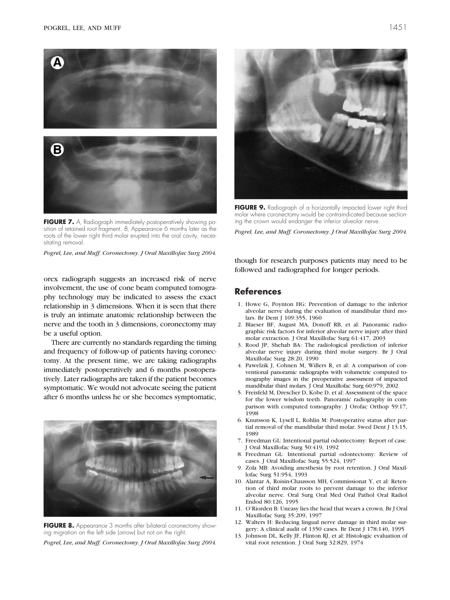

<span id="page-4-0"></span>

**FIGURE 7.** A, Radiograph immediately postoperatively showing position of retained root fragment. B, Appearance 6 months later as the roots of the lower right third molar erupted into the oral cavity, necessitating removal.

orex radiograph suggests an increased risk of nerve involvement, the use of cone beam computed tomography technology may be indicated to assess the exact relationship in 3 dimensions. When it is seen that there is truly an intimate anatomic relationship between the nerve and the tooth in 3 dimensions, coronectomy may be a useful option.

There are currently no standards regarding the timing and frequency of follow-up of patients having coronectomy. At the present time, we are taking radiographs immediately postoperatively and 6 months postoperatively. Later radiographs are taken if the patient becomes symptomatic. We would not advocate seeing the patient after 6 months unless he or she becomes symptomatic,



**FIGURE 8.** Appearance 3 months after bilateral coronectomy showing migration on the left side (arrow) but not on the right.

*Pogrel, Lee, and Muff. Coronectomy. J Oral Maxillofac Surg 2004.*



**FIGURE 9.** Radiograph of a horizontally impacted lower right third molar where coronectomy would be contraindicated because sectioning the crown would endanger the inferior alveolar nerve.

*Pogrel, Lee, and Muff. Coronectomy. J Oral Maxillofac Surg 2004.*

though for research purposes patients may need to be followed and radiographed for longer periods.

## **References**

- 1. Howe G, Poynton HG: Prevention of damage to the inferior alveolar nerve during the evaluation of mandibular third molars. Br Dent J 109:355, 1960
- 2. Blaeser BF, August MA, Donoff RB, et al: Panoramic radiographic risk factors for inferior alveolar nerve injury after third molar extraction. J Oral Maxillofac Surg 61:417, 2003
- 3. Rood JP, Shehab BA: The radiological prediction of inferior alveolar nerve injury during third molar surgery. Br J Oral Maxillofac Surg 28:20, 1990
- 4. Pawelzik J, Cohnen M, Willers R, et al: A comparison of conventional panoramic radiographs with volumetric computed tomography images in the preoperative assessment of impacted mandibular third molars. J Oral Maxillofac Surg 60:979, 2002
- 5. Freisfeld M, Drescher D, Kobe D, et al: Assessment of the space for the lower wisdom teeth. Panoramic radiography in comparison with computed tomography. J Orofac Orthop 59:17, 1998
- 6. Knutsson K, Lysell L, Rohlin M: Postoperative status after partial removal of the mandibular third molar. Swed Dent J 13:15, 1989
- 7. Freedman GL: Intentional partial odontectomy: Report of case. J Oral Maxillofac Surg 50:419, 1992
- 8. Freedman GL: Intentional partial odontectomy: Review of cases. J Oral Maxillofac Surg 55:524, 1997
- 9. Zola MB: Avoiding anesthesia by root retention. J Oral Maxillofac Surg 51:954, 1993
- 10. Alantar A, Roisin-Chausson MH, Commissionat Y, et al: Retention of third molar roots to prevent damage to the inferior alveolar nerve. Oral Surg Oral Med Oral Pathol Oral Radiol Endod 80:126, 1995
- 11. O'Riorden B: Uneasy lies the head that wears a crown. Br J Oral Maxillofac Surg 35:209, 1997
- 12. Walters H: Reducing lingual nerve damage in third molar surgery: A clinical audit of 1350 cases. Br Dent J 178:140, 1995
- 13. Johnson DL, Kelly JF, Flinton RJ, et al: Histologic evaluation of vital root retention. J Oral Surg 32:829, 1974